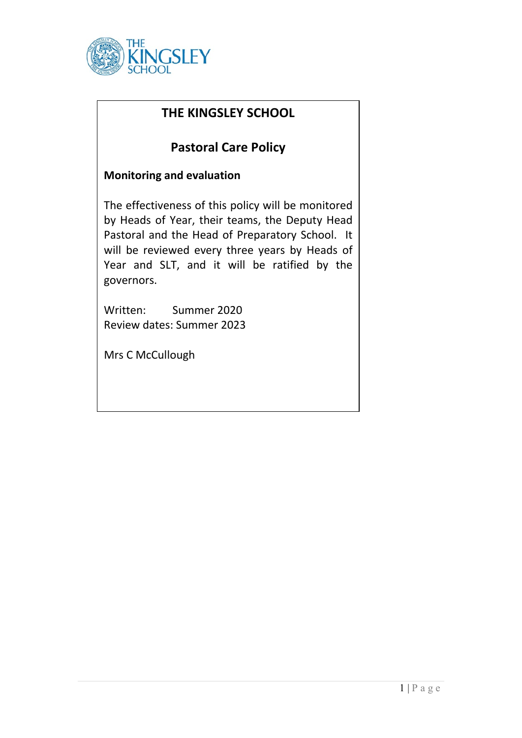

## **THE KINGSLEY SCHOOL**

# **Pastoral Care Policy**

### **Monitoring and evaluation**

The effectiveness of this policy will be monitored by Heads of Year, their teams, the Deputy Head Pastoral and the Head of Preparatory School. It will be reviewed every three years by Heads of Year and SLT, and it will be ratified by the governors.

Written:Summer 2020 Review dates: Summer 2023

Mrs C McCullough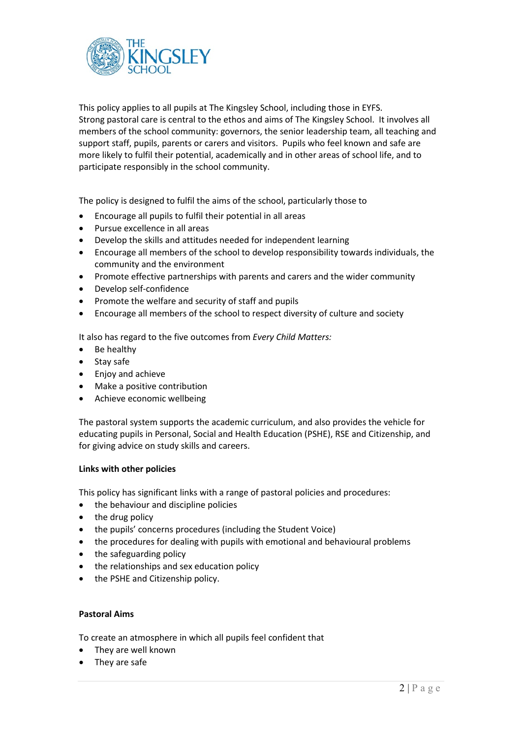

This policy applies to all pupils at The Kingsley School, including those in EYFS. Strong pastoral care is central to the ethos and aims of The Kingsley School. It involves all members of the school community: governors, the senior leadership team, all teaching and support staff, pupils, parents or carers and visitors. Pupils who feel known and safe are more likely to fulfil their potential, academically and in other areas of school life, and to participate responsibly in the school community.

The policy is designed to fulfil the aims of the school, particularly those to

- Encourage all pupils to fulfil their potential in all areas
- Pursue excellence in all areas
- Develop the skills and attitudes needed for independent learning
- Encourage all members of the school to develop responsibility towards individuals, the community and the environment
- Promote effective partnerships with parents and carers and the wider community
- Develop self-confidence
- Promote the welfare and security of staff and pupils
- Encourage all members of the school to respect diversity of culture and society

It also has regard to the five outcomes from *Every Child Matters:*

- Be healthy
- Stay safe
- Enjoy and achieve
- Make a positive contribution
- Achieve economic wellbeing

The pastoral system supports the academic curriculum, and also provides the vehicle for educating pupils in Personal, Social and Health Education (PSHE), RSE and Citizenship, and for giving advice on study skills and careers.

#### **Links with other policies**

This policy has significant links with a range of pastoral policies and procedures:

- the behaviour and discipline policies
- the drug policy
- the pupils' concerns procedures (including the Student Voice)
- the procedures for dealing with pupils with emotional and behavioural problems
- the safeguarding policy
- the relationships and sex education policy
- the PSHE and Citizenship policy.

#### **Pastoral Aims**

To create an atmosphere in which all pupils feel confident that

- They are well known
- They are safe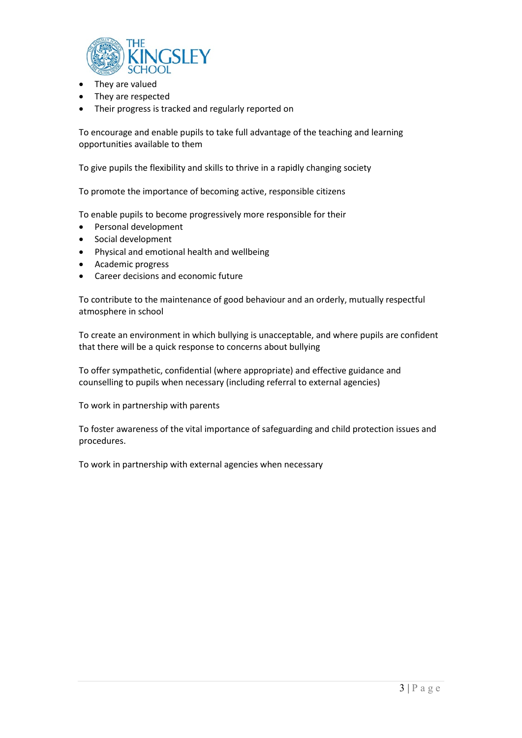

- They are valued
- They are respected
- Their progress is tracked and regularly reported on

To encourage and enable pupils to take full advantage of the teaching and learning opportunities available to them

To give pupils the flexibility and skills to thrive in a rapidly changing society

To promote the importance of becoming active, responsible citizens

To enable pupils to become progressively more responsible for their

- Personal development
- Social development
- Physical and emotional health and wellbeing
- Academic progress
- Career decisions and economic future

To contribute to the maintenance of good behaviour and an orderly, mutually respectful atmosphere in school

To create an environment in which bullying is unacceptable, and where pupils are confident that there will be a quick response to concerns about bullying

To offer sympathetic, confidential (where appropriate) and effective guidance and counselling to pupils when necessary (including referral to external agencies)

To work in partnership with parents

To foster awareness of the vital importance of safeguarding and child protection issues and procedures.

To work in partnership with external agencies when necessary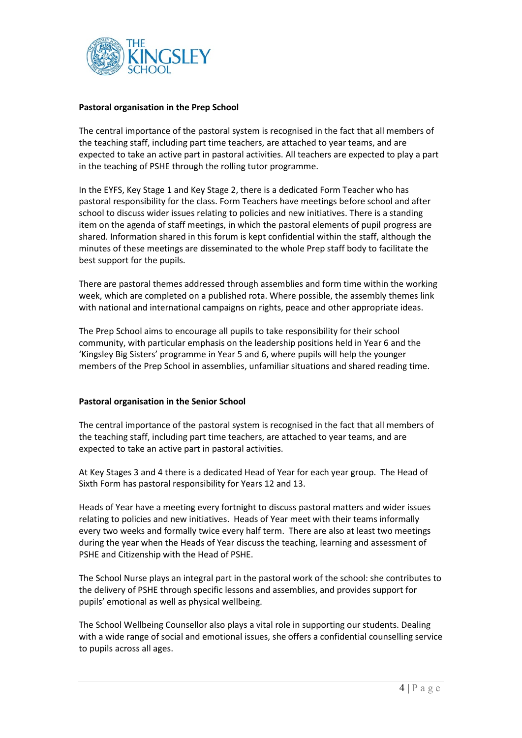

#### **Pastoral organisation in the Prep School**

The central importance of the pastoral system is recognised in the fact that all members of the teaching staff, including part time teachers, are attached to year teams, and are expected to take an active part in pastoral activities. All teachers are expected to play a part in the teaching of PSHE through the rolling tutor programme.

In the EYFS, Key Stage 1 and Key Stage 2, there is a dedicated Form Teacher who has pastoral responsibility for the class. Form Teachers have meetings before school and after school to discuss wider issues relating to policies and new initiatives. There is a standing item on the agenda of staff meetings, in which the pastoral elements of pupil progress are shared. Information shared in this forum is kept confidential within the staff, although the minutes of these meetings are disseminated to the whole Prep staff body to facilitate the best support for the pupils.

There are pastoral themes addressed through assemblies and form time within the working week, which are completed on a published rota. Where possible, the assembly themes link with national and international campaigns on rights, peace and other appropriate ideas.

The Prep School aims to encourage all pupils to take responsibility for their school community, with particular emphasis on the leadership positions held in Year 6 and the 'Kingsley Big Sisters' programme in Year 5 and 6, where pupils will help the younger members of the Prep School in assemblies, unfamiliar situations and shared reading time.

### **Pastoral organisation in the Senior School**

The central importance of the pastoral system is recognised in the fact that all members of the teaching staff, including part time teachers, are attached to year teams, and are expected to take an active part in pastoral activities.

At Key Stages 3 and 4 there is a dedicated Head of Year for each year group. The Head of Sixth Form has pastoral responsibility for Years 12 and 13.

Heads of Year have a meeting every fortnight to discuss pastoral matters and wider issues relating to policies and new initiatives. Heads of Year meet with their teams informally every two weeks and formally twice every half term. There are also at least two meetings during the year when the Heads of Year discuss the teaching, learning and assessment of PSHE and Citizenship with the Head of PSHE.

The School Nurse plays an integral part in the pastoral work of the school: she contributes to the delivery of PSHE through specific lessons and assemblies, and provides support for pupils' emotional as well as physical wellbeing.

The School Wellbeing Counsellor also plays a vital role in supporting our students. Dealing with a wide range of social and emotional issues, she offers a confidential counselling service to pupils across all ages.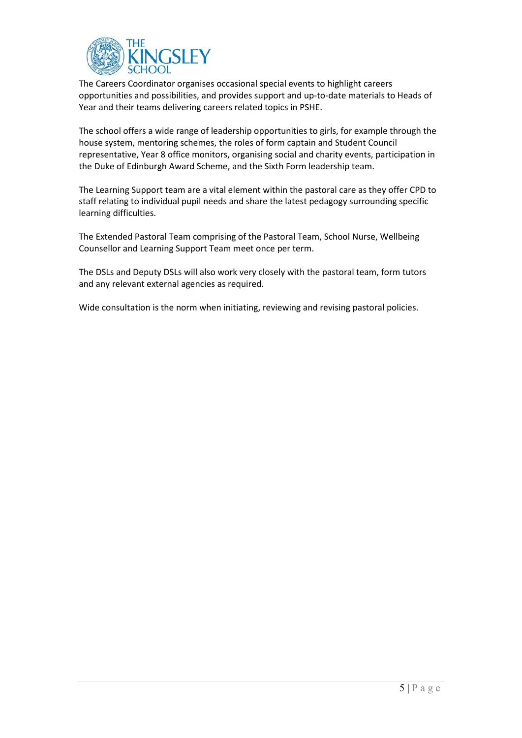

The Careers Coordinator organises occasional special events to highlight careers opportunities and possibilities, and provides support and up-to-date materials to Heads of Year and their teams delivering careers related topics in PSHE.

The school offers a wide range of leadership opportunities to girls, for example through the house system, mentoring schemes, the roles of form captain and Student Council representative, Year 8 office monitors, organising social and charity events, participation in the Duke of Edinburgh Award Scheme, and the Sixth Form leadership team.

The Learning Support team are a vital element within the pastoral care as they offer CPD to staff relating to individual pupil needs and share the latest pedagogy surrounding specific learning difficulties.

The Extended Pastoral Team comprising of the Pastoral Team, School Nurse, Wellbeing Counsellor and Learning Support Team meet once per term.

The DSLs and Deputy DSLs will also work very closely with the pastoral team, form tutors and any relevant external agencies as required.

Wide consultation is the norm when initiating, reviewing and revising pastoral policies.